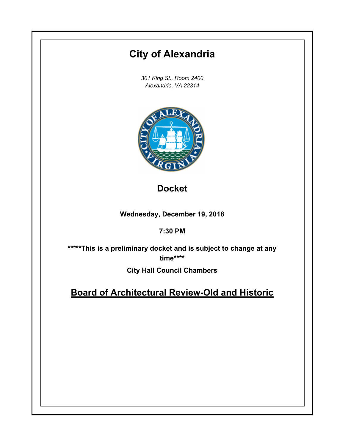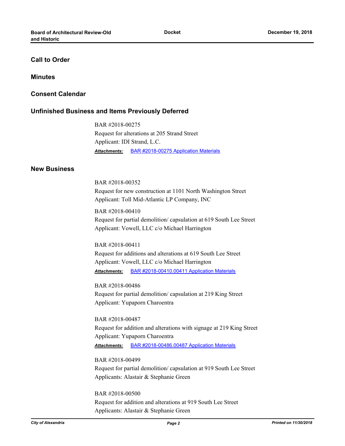# **Call to Order**

### **Minutes**

## **Consent Calendar**

## **Unfinished Business and Items Previously Deferred**

BAR #2018-00275 Request for alterations at 205 Strand Street Applicant: IDI Strand, L.C. *Attachments:* [BAR #2018-00275 Application Materials](http://alexandria.legistar.com/gateway.aspx?M=F&ID=064c7ba3-cb45-4088-b963-c1367ca48ab7.pdf)

## **New Business**

BAR #2018-00352 Request for new construction at 1101 North Washington Street Applicant: Toll Mid-Atlantic LP Company, INC

BAR #2018-00410 Request for partial demolition/ capsulation at 619 South Lee Street Applicant: Vowell, LLC c/o Michael Harrington

BAR #2018-00411 Request for additions and alterations at 619 South Lee Street Applicant: Vowell, LLC c/o Michael Harrington *Attachments:* [BAR #2018-00410.00411 Application Materials](http://alexandria.legistar.com/gateway.aspx?M=F&ID=c72db408-b773-4b14-8898-8e98ec12fc43.pdf)

BAR #2018-00486 Request for partial demolition/ capsulation at 219 King Street Applicant: Yupaporn Charoentra

BAR #2018-00487 Request for addition and alterations with signage at 219 King Street Applicant: Yupaporn Charoentra *Attachments:* [BAR #2018-00486.00487 Application Materials](http://alexandria.legistar.com/gateway.aspx?M=F&ID=ba5dc5ad-ea0b-4a6b-b8c8-5b578cc69099.pdf)

BAR #2018-00499 Request for partial demolition/ capsulation at 919 South Lee Street Applicants: Alastair & Stephanie Green

BAR #2018-00500 Request for addition and alterations at 919 South Lee Street Applicants: Alastair & Stephanie Green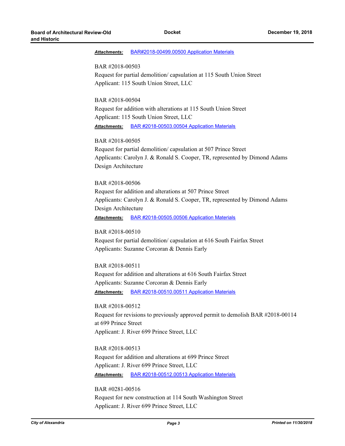#### *Attachments:* [BAR#2018-00499.00500 Application Materials](http://alexandria.legistar.com/gateway.aspx?M=F&ID=02acb69f-bad9-4f1b-9f7c-a3ebd587adbf.pdf)

#### BAR #2018-00503

Request for partial demolition/ capsulation at 115 South Union Street Applicant: 115 South Union Street, LLC

### BAR #2018-00504

Request for addition with alterations at 115 South Union Street Applicant: 115 South Union Street, LLC *Attachments:* [BAR #2018-00503.00504 Application Materials](http://alexandria.legistar.com/gateway.aspx?M=F&ID=4bf642fc-f4d8-43dd-8106-537f9ad02c21.pdf)

### BAR #2018-00505

Request for partial demolition/ capsulation at 507 Prince Street Applicants: Carolyn J. & Ronald S. Cooper, TR, represented by Dimond Adams Design Architecture

### BAR #2018-00506

Request for addition and alterations at 507 Prince Street Applicants: Carolyn J. & Ronald S. Cooper, TR, represented by Dimond Adams Design Architecture

*Attachments:* [BAR #2018-00505.00506 Application Materials](http://alexandria.legistar.com/gateway.aspx?M=F&ID=8cb984c6-801d-4f4b-ac2a-fcab71d54cd1.pdf)

### BAR #2018-00510

Request for partial demolition/ capsulation at 616 South Fairfax Street Applicants: Suzanne Corcoran & Dennis Early

#### BAR #2018-00511

Request for addition and alterations at 616 South Fairfax Street Applicants: Suzanne Corcoran & Dennis Early *Attachments:* [BAR #2018-00510.00511 Application Materials](http://alexandria.legistar.com/gateway.aspx?M=F&ID=ff5e35a9-15ee-4bc0-b64a-7413bdcc9fb4.pdf)

BAR #2018-00512 Request for revisions to previously approved permit to demolish BAR #2018-00114 at 699 Prince Street Applicant: J. River 699 Prince Street, LLC

## BAR #2018-00513

Request for addition and alterations at 699 Prince Street Applicant: J. River 699 Prince Street, LLC *Attachments:* [BAR #2018-00512.00513 Application Materials](http://alexandria.legistar.com/gateway.aspx?M=F&ID=d945ec86-1f46-4bf2-8d9b-f8236584c9ea.pdf)

# BAR #0281-00516

Request for new construction at 114 South Washington Street Applicant: J. River 699 Prince Street, LLC